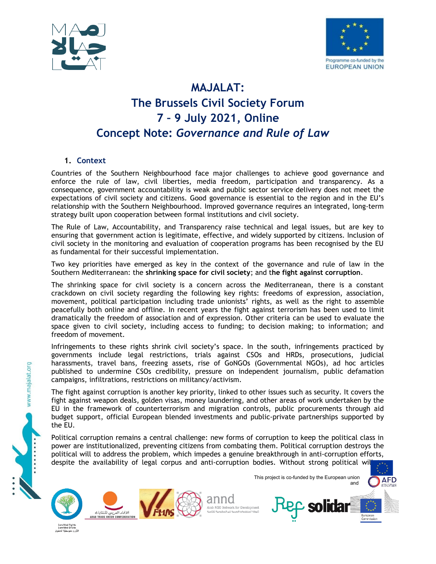



# **MAJALAT: The Brussels Civil Society Forum 7 – 9 July 2021, Online Concept Note:** *Governance and Rule of Law*

# **1. Context**

Countries of the Southern Neighbourhood face major challenges to achieve good governance and enforce the rule of law, civil liberties, media freedom, participation and transparency. As a consequence, government accountability is weak and public sector service delivery does not meet the expectations of civil society and citizens. Good governance is essential to the region and in the EU's relationship with the Southern Neighbourhood. Improved governance requires an integrated, long-term strategy built upon cooperation between formal institutions and civil society.

The Rule of Law, Accountability, and Transparency raise technical and legal issues, but are key to ensuring that government action is legitimate, effective, and widely supported by citizens. Inclusion of civil society in the monitoring and evaluation of cooperation programs has been recognised by the EU as fundamental for their successful implementation.

Two key priorities have emerged as key in the context of the governance and rule of law in the Southern Mediterranean: the **shrinking space for civil society**; and t**he fight against corruption**.

The shrinking space for civil society is a concern across the Mediterranean, there is a constant crackdown on civil society regarding the following key rights: freedoms of expression, association, movement, political participation including trade unionists' rights, as well as the right to assemble peacefully both online and offline. In recent years the fight against terrorism has been used to limit dramatically the freedom of association and of expression. Other criteria can be used to evaluate the space given to civil society, including access to funding; to decision making; to information; and freedom of movement.

Infringements to these rights shrink civil society's space. In the south, infringements practiced by governments include legal restrictions, trials against CSOs and HRDs, prosecutions, judicial harassments, travel bans, freezing assets, rise of GoNGOs (Governmental NGOs), ad hoc articles published to undermine CSOs credibility, pressure on independent journalism, public defamation campaigns, infiltrations, restrictions on militancy/activism.

The fight against corruption is another key priority, linked to other issues such as security. It covers the fight against weapon deals, golden visas, money laundering, and other areas of work undertaken by the EU in the framework of counterterrorism and migration controls, public procurements through aid budget support, official European blended investments and public-private partnerships supported by the EU.

Political corruption remains a central challenge: new forms of corruption to keep the political class in power are institutionalized, preventing citizens from combating them. Political corruption destroys the political will to address the problem, which impedes a genuine breakthrough in anti-corruption efforts, despite the availability of legal corpus and anti-corruption bodies. Without strong political wil



www.majalat.org





anno Arab NGO Network for Developm

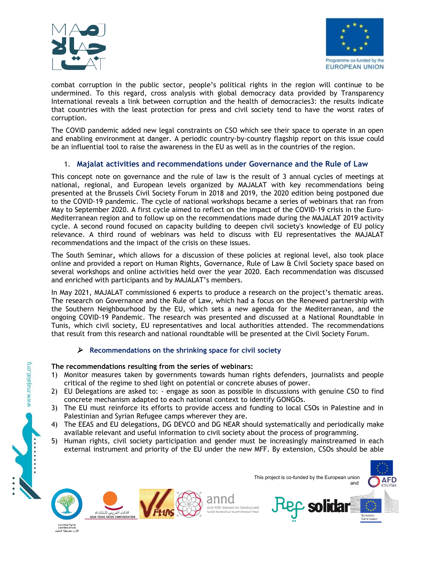



combat corruption in the public sector, people's political rights in the region will continue to be undermined. To this regard, cross analysis with global democracy data provided by Transparency International reveals a link between corruption and the health of democracies3: the results indicate that countries with the least protection for press and civil society tend to have the worst rates of corruption.

The COVID pandemic added new legal constraints on CSO which see their space to operate in an open and enabling environment at danger. A periodic country-by-country flagship report on this issue could be an influential tool to raise the awareness in the EU as well as in the countries of the region.

### 1. **Majalat activities and recommendations under Governance and the Rule of Law**

This concept note on governance and the rule of law is the result of 3 annual cycles of meetings at national, regional, and European levels organized by MAJALAT with key recommendations being presented at the Brussels Civil Society Forum in 2018 and 2019, the 2020 edition being postponed due to the COVID-19 pandemic. The cycle of national workshops became a series of webinars that ran from May to September 2020. A first cycle aimed to reflect on the impact of the COVID-19 crisis in the Euro-Mediterranean region and to follow up on the recommendations made during the MAJALAT 2019 activity cycle. A second round focused on capacity building to deepen civil society's knowledge of EU policy relevance. A third round of webinars was held to discuss with EU representatives the MAJALAT recommendations and the impact of the crisis on these issues.

The South Seminar**,** which allows for a discussion of these policies at regional level, also took place online and provided a report on Human Rights, Governance, Rule of Law & Civil Society space based on several workshops and online activities held over the year 2020. Each recommendation was discussed and enriched with participants and by MAJALAT's members.

In May 2021, MAJALAT commissioned 6 experts to produce a research on the project's thematic areas. The research on Governance and the Rule of Law, which had a focus on the Renewed partnership with the Southern Neighbourhood by the EU, which sets a new agenda for the Mediterranean, and the ongoing COVID-19 Pandemic. The research was presented and discussed at a National Roundtable in Tunis, which civil society, EU representatives and local authorities attended. The recommendations that result from this research and national roundtable will be presented at the Civil Society Forum.

#### **Recommendations on the shrinking space for civil society**

#### **The recommendations resulting from the series of webinars:**

- 1) Monitor measures taken by governments towards human rights defenders, journalists and people critical of the regime to shed light on potential or concrete abuses of power.
- 2) EU Delegations are asked to: engage as soon as possible in discussions with genuine CSO to find concrete mechanism adapted to each national context to identify GONGOs.
- 3) The EU must reinforce its efforts to provide access and funding to local CSOs in Palestine and in Palestinian and Syrian Refugee camps wherever they are.
- 4) The EEAS and EU delegations, DG DEVCO and DG NEAR should systematically and periodically make available relevant and useful information to civil society about the process of programming.
- 5) Human rights, civil society participation and gender must be increasingly mainstreamed in each external instrument and priority of the EU under the new MFF. By extension, CSOs should be able







anno Arab NGO Network for Developr



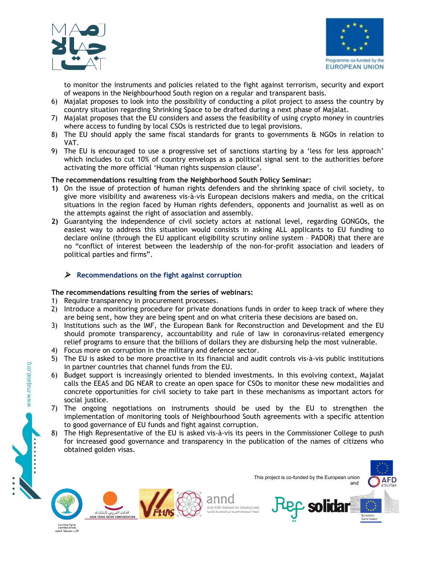



to monitor the instruments and policies related to the fight against terrorism, security and export of weapons in the Neighbourhood South region on a regular and transparent basis.

- 6) Majalat proposes to look into the possibility of conducting a pilot project to assess the country by country situation regarding Shrinking Space to be drafted during a next phase of Majalat.
- 7) Majalat proposes that the EU considers and assess the feasibility of using crypto money in countries where access to funding by local CSOs is restricted due to legal provisions.
- 8) The EU should apply the same fiscal standards for grants to governments & NGOs in relation to VAT.
- 9) The EU is encouraged to use a progressive set of sanctions starting by a 'less for less approach' which includes to cut 10% of country envelops as a political signal sent to the authorities before activating the more official 'Human rights suspension clause'.

#### **The recommendations resulting from the Neighborhood South Policy Seminar:**

- **1)** On the issue of protection of human rights defenders and the shrinking space of civil society, to give more visibility and awareness vis-à-vis European decisions makers and media, on the critical situations in the region faced by Human rights defenders, opponents and journalist as well as on the attempts against the right of association and assembly.
- **2)** Guarantying the independence of civil society actors at national level, regarding GONGOs, the easiest way to address this situation would consists in asking ALL applicants to EU funding to declare online (through the EU applicant eligibility scrutiny online system – PADOR) that there are no "conflict of interest between the leadership of the non-for-profit association and leaders of political parties and firms".

#### **Recommendations on the fight against corruption**

#### **The recommendations resulting from the series of webinars:**

- 1) Require transparency in procurement processes.
- 2) Introduce a monitoring procedure for private donations funds in order to keep track of where they are being sent, how they are being spent and on what criteria these decisions are based on.
- 3) Institutions such as the IMF, the European Bank for Reconstruction and Development and the EU should promote transparency, accountability and rule of law in coronavirus-related emergency relief programs to ensure that the billions of dollars they are disbursing help the most vulnerable.
- 4) Focus more on corruption in the military and defence sector.
- 5) The EU is asked to be more proactive in its financial and audit controls vis-à-vis public institutions in partner countries that channel funds from the EU.
- 6) Budget support is increasingly oriented to blended investments. In this evolving context, Majalat calls the EEAS and DG NEAR to create an open space for CSOs to monitor these new modalities and concrete opportunities for civil society to take part in these mechanisms as important actors for social justice.
- 7) The ongoing negotiations on instruments should be used by the EU to strengthen the implementation of monitoring tools of Neighbourhood South agreements with a specific attention to good governance of EU funds and fight against corruption.
- 8) The High Representative of the EU is asked vis-à-vis its peers in the Commissioner College to push for increased good governance and transparency in the publication of the names of citizens who obtained golden visas.

www.majalat.org





anno Arab NGO Network for Developr

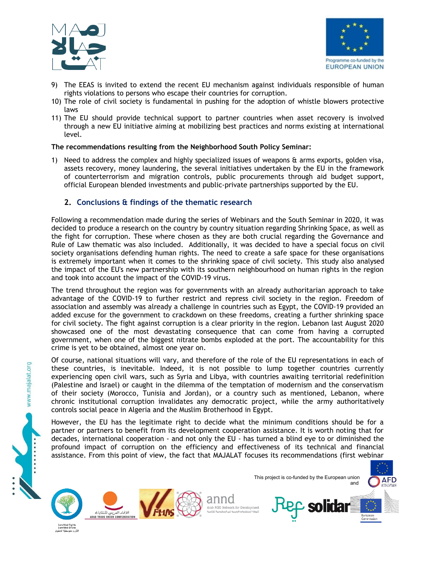



- 9) The EEAS is invited to extend the recent EU mechanism against individuals responsible of human rights violations to persons who escape their countries for corruption.
- 10) The role of civil society is fundamental in pushing for the adoption of whistle blowers protective laws
- 11) The EU should provide technical support to partner countries when asset recovery is involved through a new EU initiative aiming at mobilizing best practices and norms existing at international level.

#### **The recommendations resulting from the Neighborhood South Policy Seminar:**

1) Need to address the complex and highly specialized issues of weapons  $\theta$  arms exports, golden visa, assets recovery, money laundering, the several initiatives undertaken by the EU in the framework of counterterrorism and migration controls, public procurements through aid budget support, official European blended investments and public-private partnerships supported by the EU.

## **2. Conclusions & findings of the thematic research**

Following a recommendation made during the series of Webinars and the South Seminar in 2020, it was decided to produce a research on the country by country situation regarding Shrinking Space, as well as the fight for corruption. These where chosen as they are both crucial regarding the Governance and Rule of Law thematic was also included. Additionally, it was decided to have a special focus on civil society organisations defending human rights. The need to create a safe space for these organisations is extremely important when it comes to the shrinking space of civil society. This study also analysed the impact of the EU's new partnership with its southern neighbourhood on human rights in the region and took into account the impact of the COVID-19 virus.

The trend throughout the region was for governments with an already authoritarian approach to take advantage of the COVID-19 to further restrict and repress civil society in the region. Freedom of association and assembly was already a challenge in countries such as Egypt, the COVID-19 provided an added excuse for the government to crackdown on these freedoms, creating a further shrinking space for civil society. The fight against corruption is a clear priority in the region. Lebanon last August 2020 showcased one of the most devastating consequence that can come from having a corrupted government, when one of the biggest nitrate bombs exploded at the port. The accountability for this crime is yet to be obtained, almost one year on.

Of course, national situations will vary, and therefore of the role of the EU representations in each of these countries, is inevitable. Indeed, it is not possible to lump together countries currently experiencing open civil wars, such as Syria and Libya, with countries awaiting territorial redefinition (Palestine and Israel) or caught in the dilemma of the temptation of modernism and the conservatism of their society (Morocco, Tunisia and Jordan), or a country such as mentioned, Lebanon, where chronic institutional corruption invalidates any democratic project, while the army authoritatively controls social peace in Algeria and the Muslim Brotherhood in Egypt.

However, the EU has the legitimate right to decide what the minimum conditions should be for a partner or partners to benefit from its development cooperation assistance. It is worth noting that for decades, international cooperation - and not only the EU - has turned a blind eye to or diminished the profound impact of corruption on the efficiency and effectiveness of its technical and financial assistance. From this point of view, the fact that MAJALAT focuses its recommendations (first webinar



www.majalat.org